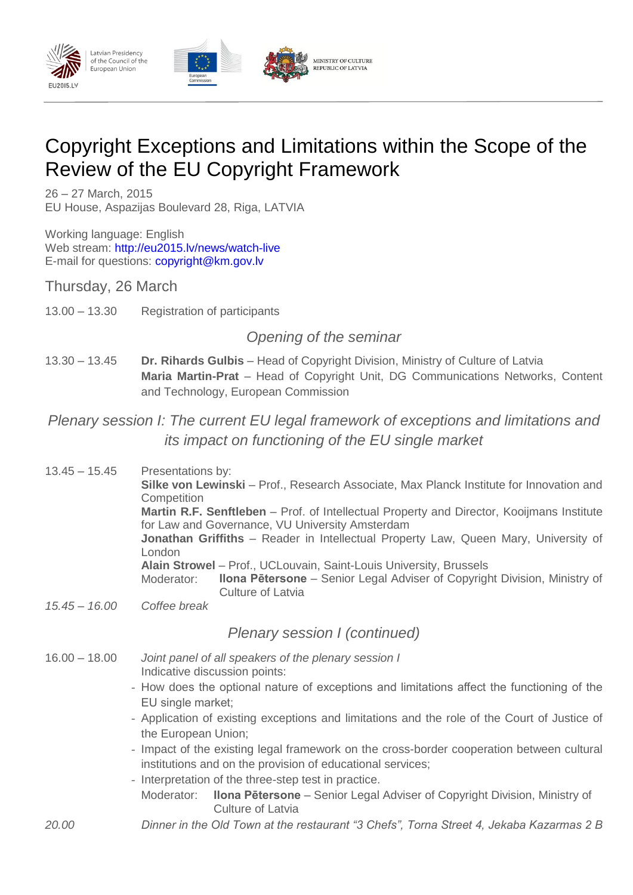

# Copyright Exceptions and Limitations within the Scope of the Review of the EU Copyright Framework

26 – 27 March, 2015 EU House, Aspazijas Boulevard 28, Riga, LATVIA

Working language: English Web stream:<http://eu2015.lv/news/watch-live> E-mail for questions:<copyright@km.gov.lv>

Thursday, 26 March

13.00 – 13.30 Registration of participants

# *Opening of the seminar*

13.30 – 13.45 **Dr. Rihards Gulbis** *–* Head of Copyright Division, Ministry of Culture of Latvia **Maria Martin-Prat** *–* Head of Copyright Unit, DG Communications Networks, Content and Technology, European Commission

# *Plenary session I: The current EU legal framework of exceptions and limitations and its impact on functioning of the EU single market*

| $13.45 - 15.45$ | Presentations by:<br>Silke von Lewinski - Prof., Research Associate, Max Planck Institute for Innovation and<br>Competition                  |  |  |
|-----------------|----------------------------------------------------------------------------------------------------------------------------------------------|--|--|
|                 | Martin R.F. Senftleben - Prof. of Intellectual Property and Director, Kooijmans Institute<br>for Law and Governance, VU University Amsterdam |  |  |
|                 | Jonathan Griffiths - Reader in Intellectual Property Law, Queen Mary, University of<br>London                                                |  |  |
|                 | Alain Strowel - Prof., UCLouvain, Saint-Louis University, Brussels                                                                           |  |  |
|                 | <b>Ilona Pētersone</b> – Senior Legal Adviser of Copyright Division, Ministry of<br>Moderator:<br><b>Culture of Latvia</b>                   |  |  |
| $15.45 - 16.00$ | Coffee break                                                                                                                                 |  |  |

#### *Plenary session I (continued)*

- 16.00 18.00 *Joint panel of all speakers of the plenary session I* Indicative discussion points:
	- How does the optional nature of exceptions and limitations affect the functioning of the EU single market;
	- Application of existing exceptions and limitations and the role of the Court of Justice of the European Union;
	- Impact of the existing legal framework on the cross-border cooperation between cultural institutions and on the provision of educational services;
	- Interpretation of the three-step test in practice.
	- Moderator: **Ilona Pētersone** Senior Legal Adviser of Copyright Division, Ministry of Culture of Latvia
- *20.00 Dinner in the Old Town at the restaurant "3 Chefs", Torna Street 4, Jekaba Kazarmas 2 B*